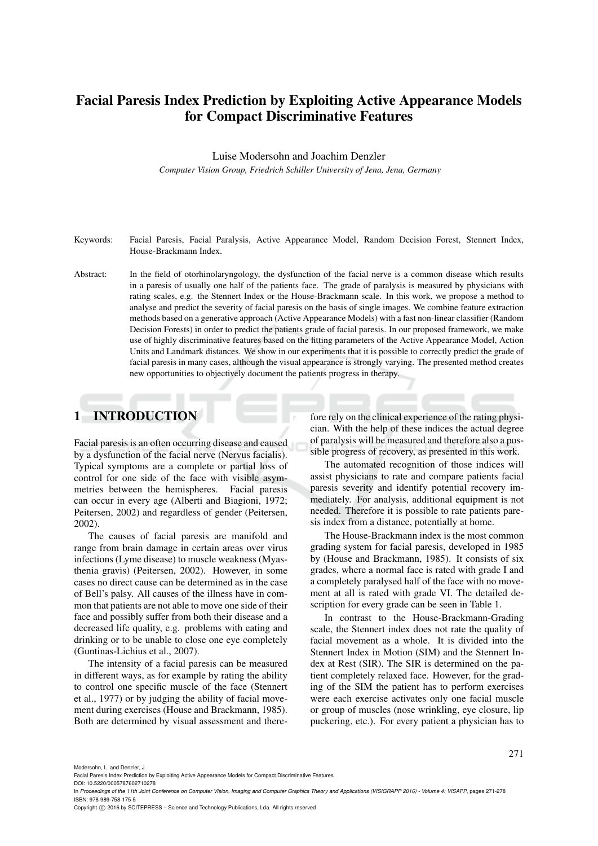# Facial Paresis Index Prediction by Exploiting Active Appearance Models for Compact Discriminative Features

Luise Modersohn and Joachim Denzler

*Computer Vision Group, Friedrich Schiller University of Jena, Jena, Germany*

- Keywords: Facial Paresis, Facial Paralysis, Active Appearance Model, Random Decision Forest, Stennert Index, House-Brackmann Index.
- Abstract: In the field of otorhinolaryngology, the dysfunction of the facial nerve is a common disease which results in a paresis of usually one half of the patients face. The grade of paralysis is measured by physicians with rating scales, e.g. the Stennert Index or the House-Brackmann scale. In this work, we propose a method to analyse and predict the severity of facial paresis on the basis of single images. We combine feature extraction methods based on a generative approach (Active Appearance Models) with a fast non-linear classifier (Random Decision Forests) in order to predict the patients grade of facial paresis. In our proposed framework, we make use of highly discriminative features based on the fitting parameters of the Active Appearance Model, Action Units and Landmark distances. We show in our experiments that it is possible to correctly predict the grade of facial paresis in many cases, although the visual appearance is strongly varying. The presented method creates new opportunities to objectively document the patients progress in therapy.

# 1 INTRODUCTION

Facial paresis is an often occurring disease and caused by a dysfunction of the facial nerve (Nervus facialis). Typical symptoms are a complete or partial loss of control for one side of the face with visible asymmetries between the hemispheres. Facial paresis can occur in every age (Alberti and Biagioni, 1972; Peitersen, 2002) and regardless of gender (Peitersen, 2002).

The causes of facial paresis are manifold and range from brain damage in certain areas over virus infections (Lyme disease) to muscle weakness (Myasthenia gravis) (Peitersen, 2002). However, in some cases no direct cause can be determined as in the case of Bell's palsy. All causes of the illness have in common that patients are not able to move one side of their face and possibly suffer from both their disease and a decreased life quality, e.g. problems with eating and drinking or to be unable to close one eye completely (Guntinas-Lichius et al., 2007).

The intensity of a facial paresis can be measured in different ways, as for example by rating the ability to control one specific muscle of the face (Stennert et al., 1977) or by judging the ability of facial movement during exercises (House and Brackmann, 1985). Both are determined by visual assessment and therefore rely on the clinical experience of the rating physician. With the help of these indices the actual degree of paralysis will be measured and therefore also a possible progress of recovery, as presented in this work.

The automated recognition of those indices will assist physicians to rate and compare patients facial paresis severity and identify potential recovery immediately. For analysis, additional equipment is not needed. Therefore it is possible to rate patients paresis index from a distance, potentially at home.

The House-Brackmann index is the most common grading system for facial paresis, developed in 1985 by (House and Brackmann, 1985). It consists of six grades, where a normal face is rated with grade I and a completely paralysed half of the face with no movement at all is rated with grade VI. The detailed description for every grade can be seen in Table 1.

In contrast to the House-Brackmann-Grading scale, the Stennert index does not rate the quality of facial movement as a whole. It is divided into the Stennert Index in Motion (SIM) and the Stennert Index at Rest (SIR). The SIR is determined on the patient completely relaxed face. However, for the grading of the SIM the patient has to perform exercises were each exercise activates only one facial muscle or group of muscles (nose wrinkling, eye closure, lip puckering, etc.). For every patient a physician has to

271

Modersohn, L. and Denzler, J.

DOI: 10.5220/0005787602710278

Copyright (C) 2016 by SCITEPRESS - Science and Technology Publications, Lda. All rights reserved

Facial Paresis Index Prediction by Exploiting Active Appearance Models for Compact Discriminative Features.

In *Proceedings of the 11th Joint Conference on Computer Vision, Imaging and Computer Graphics Theory and Applications (VISIGRAPP 2016) - Volume 4: VISAPP*, pages 271-278 ISBN: 978-989-758-175-5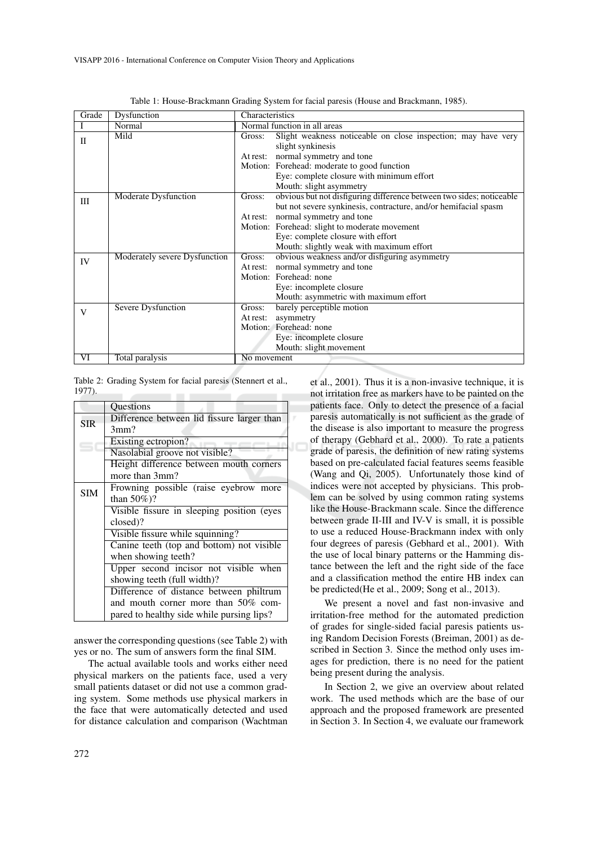| Grade        | Dysfunction                   | Characteristics                             |                                                                      |  |  |  |
|--------------|-------------------------------|---------------------------------------------|----------------------------------------------------------------------|--|--|--|
|              | Normal                        |                                             | Normal function in all areas                                         |  |  |  |
| $\mathbf{I}$ | Mild                          | Gross:                                      | Slight weakness noticeable on close inspection; may have very        |  |  |  |
|              |                               |                                             | slight synkinesis                                                    |  |  |  |
|              |                               |                                             | At rest: normal symmetry and tone                                    |  |  |  |
|              |                               | Motion: Forehead: moderate to good function |                                                                      |  |  |  |
|              |                               |                                             | Eye: complete closure with minimum effort                            |  |  |  |
|              |                               |                                             | Mouth: slight asymmetry                                              |  |  |  |
| III          | Moderate Dysfunction          | Gross:                                      | obvious but not disfiguring difference between two sides; noticeable |  |  |  |
|              |                               |                                             | but not severe synkinesis, contracture, and/or hemifacial spasm      |  |  |  |
|              |                               |                                             | At rest: normal symmetry and tone                                    |  |  |  |
|              |                               |                                             | Motion: Forehead: slight to moderate movement                        |  |  |  |
|              |                               |                                             | Eye: complete closure with effort                                    |  |  |  |
|              |                               |                                             | Mouth: slightly weak with maximum effort                             |  |  |  |
| IV           | Moderately severe Dysfunction | Gross:                                      | obvious weakness and/or disfiguring asymmetry                        |  |  |  |
|              |                               |                                             | At rest: normal symmetry and tone                                    |  |  |  |
|              |                               |                                             | Motion: Forehead: none                                               |  |  |  |
|              |                               |                                             | Eye: incomplete closure                                              |  |  |  |
|              |                               |                                             | Mouth: asymmetric with maximum effort                                |  |  |  |
| V            | <b>Severe Dysfunction</b>     | Gross:                                      | barely perceptible motion                                            |  |  |  |
|              |                               | At rest:                                    | asymmetry                                                            |  |  |  |
|              |                               |                                             | Motion: Forehead: none                                               |  |  |  |
|              |                               |                                             | Eye: incomplete closure                                              |  |  |  |
|              |                               |                                             | Mouth: slight movement                                               |  |  |  |
| VI           | Total paralysis               | No movement                                 |                                                                      |  |  |  |

. F

Table 1: House-Brackmann Grading System for facial paresis (House and Brackmann, 1985).

Table 2: Grading System for facial paresis (Stennert et al., 1977). ÷

|            | Questions                                  |  |  |  |  |  |  |  |  |
|------------|--------------------------------------------|--|--|--|--|--|--|--|--|
| <b>SIR</b> | Difference between lid fissure larger than |  |  |  |  |  |  |  |  |
|            | 3mm?                                       |  |  |  |  |  |  |  |  |
|            | Existing ectropion?                        |  |  |  |  |  |  |  |  |
|            | Nasolabial groove not visible?             |  |  |  |  |  |  |  |  |
|            | Height difference between mouth corners    |  |  |  |  |  |  |  |  |
|            | more than 3mm?                             |  |  |  |  |  |  |  |  |
| <b>SIM</b> | Frowning possible (raise eyebrow more      |  |  |  |  |  |  |  |  |
|            | than $50\%)$ ?                             |  |  |  |  |  |  |  |  |
|            | Visible fissure in sleeping position (eyes |  |  |  |  |  |  |  |  |
|            | closed)?                                   |  |  |  |  |  |  |  |  |
|            | Visible fissure while squinning?           |  |  |  |  |  |  |  |  |
|            | Canine teeth (top and bottom) not visible  |  |  |  |  |  |  |  |  |
|            | when showing teeth?                        |  |  |  |  |  |  |  |  |
|            | Upper second incisor not visible when      |  |  |  |  |  |  |  |  |
|            | showing teeth (full width)?                |  |  |  |  |  |  |  |  |
|            | Difference of distance between philtrum    |  |  |  |  |  |  |  |  |
|            | and mouth corner more than 50% com-        |  |  |  |  |  |  |  |  |
|            | pared to healthy side while pursing lips?  |  |  |  |  |  |  |  |  |

answer the corresponding questions (see Table 2) with yes or no. The sum of answers form the final SIM.

The actual available tools and works either need physical markers on the patients face, used a very small patients dataset or did not use a common grading system. Some methods use physical markers in the face that were automatically detected and used for distance calculation and comparison (Wachtman et al., 2001). Thus it is a non-invasive technique, it is not irritation free as markers have to be painted on the patients face. Only to detect the presence of a facial paresis automatically is not sufficient as the grade of the disease is also important to measure the progress of therapy (Gebhard et al., 2000). To rate a patients grade of paresis, the definition of new rating systems based on pre-calculated facial features seems feasible (Wang and Qi, 2005). Unfortunately those kind of indices were not accepted by physicians. This problem can be solved by using common rating systems like the House-Brackmann scale. Since the difference between grade II-III and IV-V is small, it is possible to use a reduced House-Brackmann index with only four degrees of paresis (Gebhard et al., 2001). With the use of local binary patterns or the Hamming distance between the left and the right side of the face and a classification method the entire HB index can be predicted(He et al., 2009; Song et al., 2013).

We present a novel and fast non-invasive and irritation-free method for the automated prediction of grades for single-sided facial paresis patients using Random Decision Forests (Breiman, 2001) as described in Section 3. Since the method only uses images for prediction, there is no need for the patient being present during the analysis.

In Section 2, we give an overview about related work. The used methods which are the base of our approach and the proposed framework are presented in Section 3. In Section 4, we evaluate our framework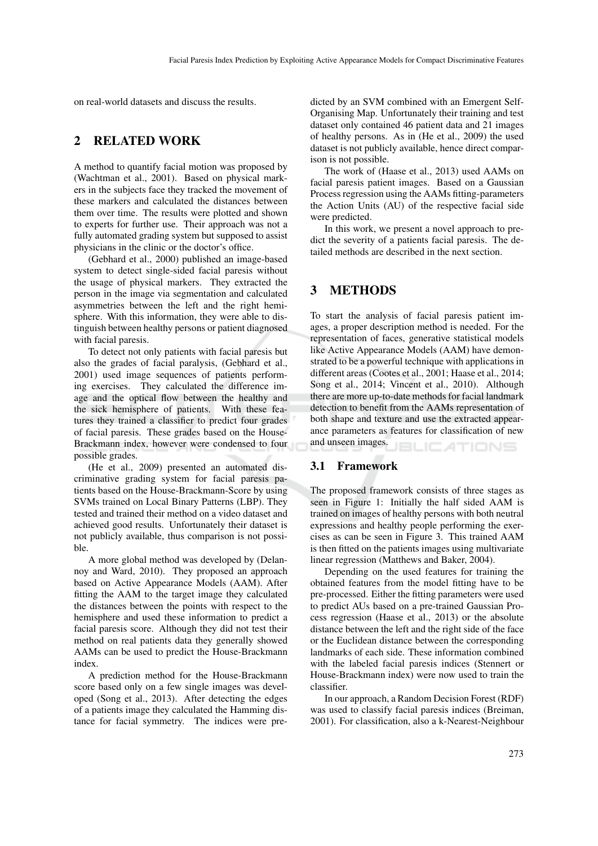on real-world datasets and discuss the results.

# 2 RELATED WORK

A method to quantify facial motion was proposed by (Wachtman et al., 2001). Based on physical markers in the subjects face they tracked the movement of these markers and calculated the distances between them over time. The results were plotted and shown to experts for further use. Their approach was not a fully automated grading system but supposed to assist physicians in the clinic or the doctor's office.

(Gebhard et al., 2000) published an image-based system to detect single-sided facial paresis without the usage of physical markers. They extracted the person in the image via segmentation and calculated asymmetries between the left and the right hemisphere. With this information, they were able to distinguish between healthy persons or patient diagnosed with facial paresis.

To detect not only patients with facial paresis but also the grades of facial paralysis, (Gebhard et al., 2001) used image sequences of patients performing exercises. They calculated the difference image and the optical flow between the healthy and the sick hemisphere of patients. With these features they trained a classifier to predict four grades of facial paresis. These grades based on the House-Brackmann index, however were condensed to four possible grades.

(He et al., 2009) presented an automated discriminative grading system for facial paresis patients based on the House-Brackmann-Score by using SVMs trained on Local Binary Patterns (LBP). They tested and trained their method on a video dataset and achieved good results. Unfortunately their dataset is not publicly available, thus comparison is not possible.

A more global method was developed by (Delannoy and Ward, 2010). They proposed an approach based on Active Appearance Models (AAM). After fitting the AAM to the target image they calculated the distances between the points with respect to the hemisphere and used these information to predict a facial paresis score. Although they did not test their method on real patients data they generally showed AAMs can be used to predict the House-Brackmann index.

A prediction method for the House-Brackmann score based only on a few single images was developed (Song et al., 2013). After detecting the edges of a patients image they calculated the Hamming distance for facial symmetry. The indices were pre-

dicted by an SVM combined with an Emergent Self-Organising Map. Unfortunately their training and test dataset only contained 46 patient data and 21 images of healthy persons. As in (He et al., 2009) the used dataset is not publicly available, hence direct comparison is not possible.

The work of (Haase et al., 2013) used AAMs on facial paresis patient images. Based on a Gaussian Process regression using the AAMs fitting-parameters the Action Units (AU) of the respective facial side were predicted.

In this work, we present a novel approach to predict the severity of a patients facial paresis. The detailed methods are described in the next section.

## 3 METHODS

To start the analysis of facial paresis patient images, a proper description method is needed. For the representation of faces, generative statistical models like Active Appearance Models (AAM) have demonstrated to be a powerful technique with applications in different areas (Cootes et al., 2001; Haase et al., 2014; Song et al., 2014; Vincent et al., 2010). Although there are more up-to-date methods for facial landmark detection to benefit from the AAMs representation of both shape and texture and use the extracted appearance parameters as features for classification of new and unseen images. ILIC ATIONS

## 3.1 Framework

The proposed framework consists of three stages as seen in Figure 1: Initially the half sided AAM is trained on images of healthy persons with both neutral expressions and healthy people performing the exercises as can be seen in Figure 3. This trained AAM is then fitted on the patients images using multivariate linear regression (Matthews and Baker, 2004).

Depending on the used features for training the obtained features from the model fitting have to be pre-processed. Either the fitting parameters were used to predict AUs based on a pre-trained Gaussian Process regression (Haase et al., 2013) or the absolute distance between the left and the right side of the face or the Euclidean distance between the corresponding landmarks of each side. These information combined with the labeled facial paresis indices (Stennert or House-Brackmann index) were now used to train the classifier.

In our approach, a Random Decision Forest (RDF) was used to classify facial paresis indices (Breiman, 2001). For classification, also a k-Nearest-Neighbour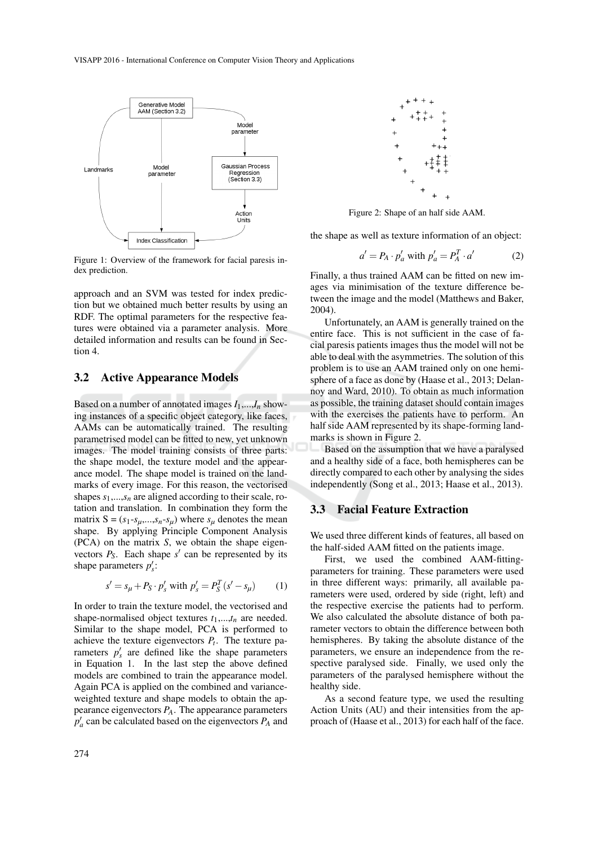

Figure 1: Overview of the framework for facial paresis index prediction.

approach and an SVM was tested for index prediction but we obtained much better results by using an RDF. The optimal parameters for the respective features were obtained via a parameter analysis. More detailed information and results can be found in Section 4.

### 3.2 Active Appearance Models

Based on a number of annotated images  $I_1$ ,..., $I_n$  showing instances of a specific object category, like faces, AAMs can be automatically trained. The resulting parametrised model can be fitted to new, yet unknown images. The model training consists of three parts: the shape model, the texture model and the appearance model. The shape model is trained on the landmarks of every image. For this reason, the vectorised shapes  $s_1$ ,..., $s_n$  are aligned according to their scale, rotation and translation. In combination they form the matrix  $S = (s_1-s_\mu,...,s_n-s_\mu)$  where  $s_\mu$  denotes the mean shape. By applying Principle Component Analysis (PCA) on the matrix *S*, we obtain the shape eigenvectors  $P_S$ . Each shape  $s'$  can be represented by its shape parameters  $p'_{s}$ :

$$
s' = s_{\mu} + P_S \cdot p'_s \text{ with } p'_s = P_S^T (s' - s_{\mu}) \qquad (1)
$$

In order to train the texture model, the vectorised and shape-normalised object textures  $t_1$ ,..., $t_n$  are needed. Similar to the shape model, PCA is performed to achieve the texture eigenvectors  $P_t$ . The texture parameters  $p'_s$  are defined like the shape parameters in Equation 1. In the last step the above defined models are combined to train the appearance model. Again PCA is applied on the combined and varianceweighted texture and shape models to obtain the appearance eigenvectors *PA*. The appearance parameters  $p'_a$  can be calculated based on the eigenvectors  $P_A$  and



Figure 2: Shape of an half side AAM.

the shape as well as texture information of an object:

$$
a' = P_A \cdot p'_a \text{ with } p'_a = P_A^T \cdot a' \tag{2}
$$

Finally, a thus trained AAM can be fitted on new images via minimisation of the texture difference between the image and the model (Matthews and Baker, 2004).

Unfortunately, an AAM is generally trained on the entire face. This is not sufficient in the case of facial paresis patients images thus the model will not be able to deal with the asymmetries. The solution of this problem is to use an AAM trained only on one hemisphere of a face as done by (Haase et al., 2013; Delannoy and Ward, 2010). To obtain as much information as possible, the training dataset should contain images with the exercises the patients have to perform. An half side AAM represented by its shape-forming landmarks is shown in Figure 2.

Based on the assumption that we have a paralysed and a healthy side of a face, both hemispheres can be directly compared to each other by analysing the sides independently (Song et al., 2013; Haase et al., 2013).

### 3.3 Facial Feature Extraction

We used three different kinds of features, all based on the half-sided AAM fitted on the patients image.

First, we used the combined AAM-fittingparameters for training. These parameters were used in three different ways: primarily, all available parameters were used, ordered by side (right, left) and the respective exercise the patients had to perform. We also calculated the absolute distance of both parameter vectors to obtain the difference between both hemispheres. By taking the absolute distance of the parameters, we ensure an independence from the respective paralysed side. Finally, we used only the parameters of the paralysed hemisphere without the healthy side.

As a second feature type, we used the resulting Action Units (AU) and their intensities from the approach of (Haase et al., 2013) for each half of the face.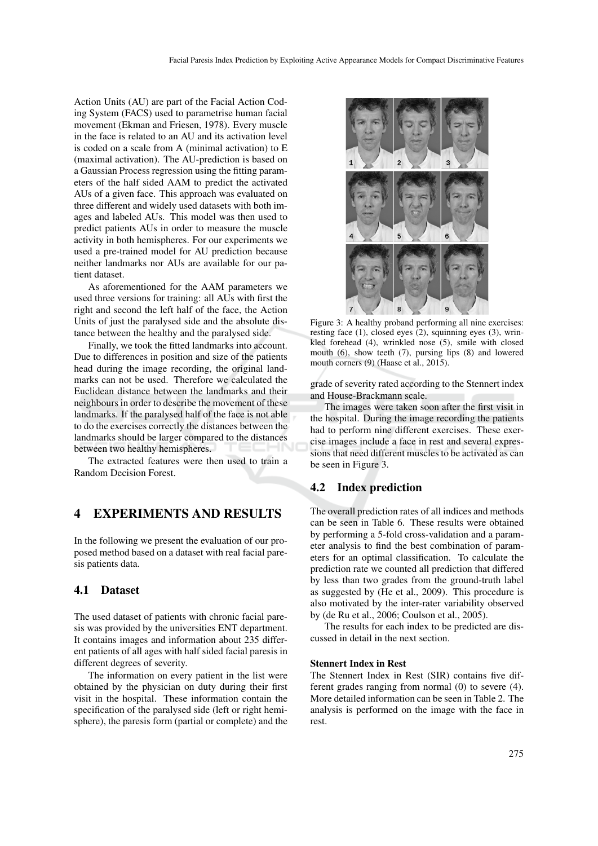Action Units (AU) are part of the Facial Action Coding System (FACS) used to parametrise human facial movement (Ekman and Friesen, 1978). Every muscle in the face is related to an AU and its activation level is coded on a scale from A (minimal activation) to E (maximal activation). The AU-prediction is based on a Gaussian Process regression using the fitting parameters of the half sided AAM to predict the activated AUs of a given face. This approach was evaluated on three different and widely used datasets with both images and labeled AUs. This model was then used to predict patients AUs in order to measure the muscle activity in both hemispheres. For our experiments we used a pre-trained model for AU prediction because neither landmarks nor AUs are available for our patient dataset.

As aforementioned for the AAM parameters we used three versions for training: all AUs with first the right and second the left half of the face, the Action Units of just the paralysed side and the absolute distance between the healthy and the paralysed side.

Finally, we took the fitted landmarks into account. Due to differences in position and size of the patients head during the image recording, the original landmarks can not be used. Therefore we calculated the Euclidean distance between the landmarks and their neighbours in order to describe the movement of these landmarks. If the paralysed half of the face is not able to do the exercises correctly the distances between the landmarks should be larger compared to the distances between two healthy hemispheres.

The extracted features were then used to train a Random Decision Forest.

# 4 EXPERIMENTS AND RESULTS

In the following we present the evaluation of our proposed method based on a dataset with real facial paresis patients data.

## 4.1 Dataset

The used dataset of patients with chronic facial paresis was provided by the universities ENT department. It contains images and information about 235 different patients of all ages with half sided facial paresis in different degrees of severity.

The information on every patient in the list were obtained by the physician on duty during their first visit in the hospital. These information contain the specification of the paralysed side (left or right hemisphere), the paresis form (partial or complete) and the



Figure 3: A healthy proband performing all nine exercises: resting face  $(1)$ , closed eyes  $(2)$ , squinning eyes  $(3)$ , wrinkled forehead (4), wrinkled nose (5), smile with closed mouth (6), show teeth (7), pursing lips (8) and lowered mouth corners (9) (Haase et al., 2015).

grade of severity rated according to the Stennert index and House-Brackmann scale.

The images were taken soon after the first visit in the hospital. During the image recording the patients had to perform nine different exercises. These exercise images include a face in rest and several expressions that need different muscles to be activated as can be seen in Figure 3.

### 4.2 Index prediction

The overall prediction rates of all indices and methods can be seen in Table 6. These results were obtained by performing a 5-fold cross-validation and a parameter analysis to find the best combination of parameters for an optimal classification. To calculate the prediction rate we counted all prediction that differed by less than two grades from the ground-truth label as suggested by (He et al., 2009). This procedure is also motivated by the inter-rater variability observed by (de Ru et al., 2006; Coulson et al., 2005).

The results for each index to be predicted are discussed in detail in the next section.

#### Stennert Index in Rest

The Stennert Index in Rest (SIR) contains five different grades ranging from normal (0) to severe (4). More detailed information can be seen in Table 2. The analysis is performed on the image with the face in rest.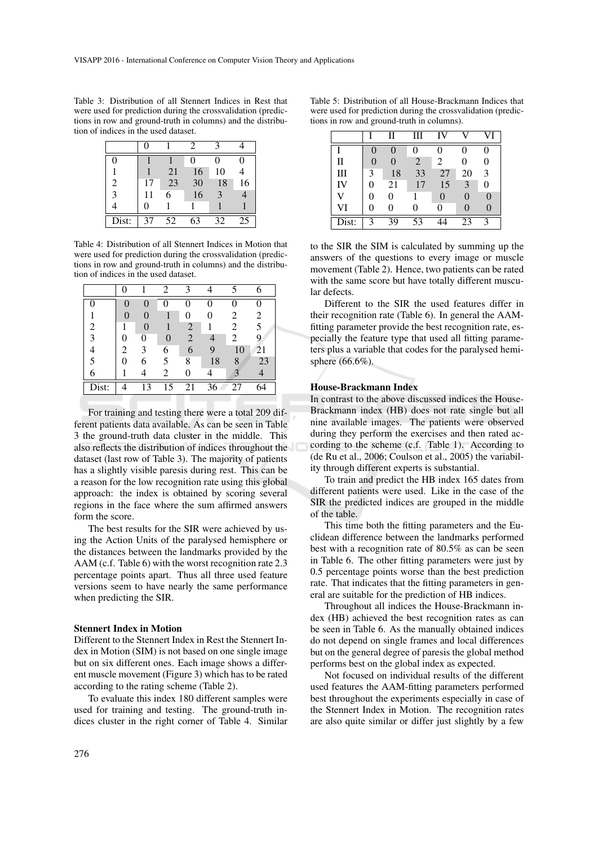Table 3: Distribution of all Stennert Indices in Rest that were used for prediction during the crossvalidation (predictions in row and ground-truth in columns) and the distribution of indices in the used dataset.

| D     |    |    |    |               |    |
|-------|----|----|----|---------------|----|
|       |    | 21 | 16 | 10            |    |
| 2     | 17 | 23 | 30 | 18            | 16 |
| 3     |    | 6  | 16 | $\mathcal{R}$ |    |
|       |    |    |    |               |    |
| Dist: | 37 | 52 | 63 | 32            | 25 |

Table 4: Distribution of all Stennert Indices in Motion that were used for prediction during the crossvalidation (predictions in row and ground-truth in columns) and the distribution of indices in the used dataset.

|       |   |   | $\mathfrak{D}$ | ζ              |                 |    |    |
|-------|---|---|----------------|----------------|-----------------|----|----|
| 0     |   |   | 0              | 0              | 0               | 0  |    |
|       |   |   |                |                |                 | 2  | 2  |
| 2     |   |   |                | $\overline{2}$ |                 | 2  | 5  |
| 3     |   | 0 |                | $\overline{2}$ | 4               | 2  | 9  |
|       | 2 | 3 | 6              | 6              | 9               | 10 | 21 |
| 5     |   | 6 | 5              | 8              | 18              | 8  | 23 |
| 6     |   |   | 2              | 0              |                 |    |    |
| Dist: |   | 3 | 15             | 21             | $\overline{36}$ | 27 |    |

For training and testing there were a total 209 different patients data available. As can be seen in Table 3 the ground-truth data cluster in the middle. This also reflects the distribution of indices throughout the dataset (last row of Table 3). The majority of patients has a slightly visible paresis during rest. This can be a reason for the low recognition rate using this global approach: the index is obtained by scoring several regions in the face where the sum affirmed answers form the score.

The best results for the SIR were achieved by using the Action Units of the paralysed hemisphere or the distances between the landmarks provided by the AAM (c.f. Table 6) with the worst recognition rate 2.3 percentage points apart. Thus all three used feature versions seem to have nearly the same performance when predicting the SIR.

#### Stennert Index in Motion

Different to the Stennert Index in Rest the Stennert Index in Motion (SIM) is not based on one single image but on six different ones. Each image shows a different muscle movement (Figure 3) which has to be rated according to the rating scheme (Table 2).

To evaluate this index 180 different samples were used for training and testing. The ground-truth indices cluster in the right corner of Table 4. Similar

|       |   | Н  | Ш  |    |    |   |
|-------|---|----|----|----|----|---|
|       | 0 | 0  |    | 0  | 0  | 0 |
| П     | 0 | 0  | 2  | 2  | 0  | 0 |
| Ш     | 3 | 18 | 33 | 27 | 20 | 3 |
| IV    | 0 | 21 | 17 | 15 | 3  | 0 |
| ۲Z    | 0 | 0  |    | 0  | 0  | 0 |
| VI    | 0 | 0  |    | 0  | 0  | 0 |
| Dist: | 3 | 39 | 53 |    | 23 | 3 |

to the SIR the SIM is calculated by summing up the answers of the questions to every image or muscle movement (Table 2). Hence, two patients can be rated with the same score but have totally different muscular defects.

Different to the SIR the used features differ in their recognition rate (Table 6). In general the AAMfitting parameter provide the best recognition rate, especially the feature type that used all fitting parameters plus a variable that codes for the paralysed hemisphere (66.6%).

#### House-Brackmann Index

In contrast to the above discussed indices the House-Brackmann index (HB) does not rate single but all nine available images. The patients were observed during they perform the exercises and then rated according to the scheme (c.f. Table 1). According to (de Ru et al., 2006; Coulson et al., 2005) the variability through different experts is substantial.

To train and predict the HB index 165 dates from different patients were used. Like in the case of the SIR the predicted indices are grouped in the middle of the table.

This time both the fitting parameters and the Euclidean difference between the landmarks performed best with a recognition rate of 80.5% as can be seen in Table 6. The other fitting parameters were just by 0.5 percentage points worse than the best prediction rate. That indicates that the fitting parameters in general are suitable for the prediction of HB indices.

Throughout all indices the House-Brackmann index (HB) achieved the best recognition rates as can be seen in Table 6. As the manually obtained indices do not depend on single frames and local differences but on the general degree of paresis the global method performs best on the global index as expected.

Not focused on individual results of the different used features the AAM-fitting parameters performed best throughout the experiments especially in case of the Stennert Index in Motion. The recognition rates are also quite similar or differ just slightly by a few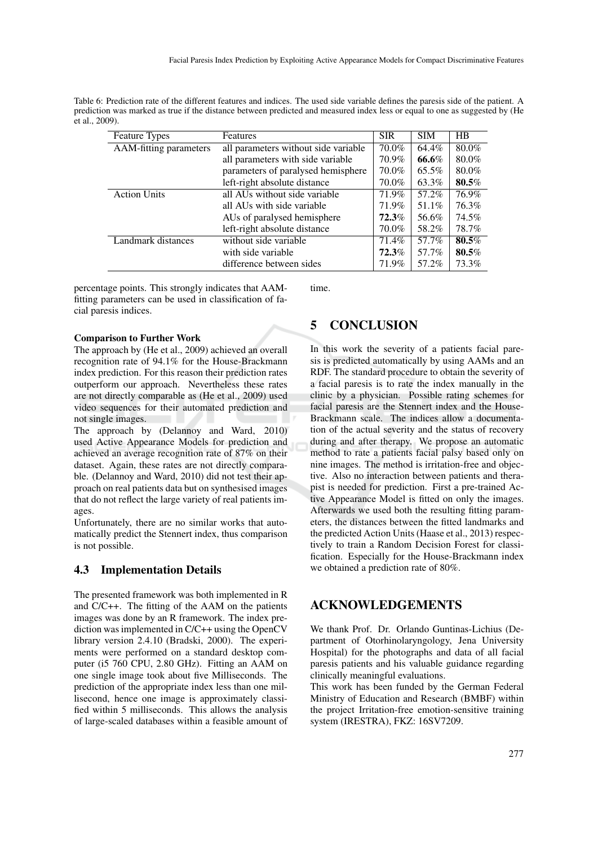Table 6: Prediction rate of the different features and indices. The used side variable defines the paresis side of the patient. A prediction was marked as true if the distance between predicted and measured index less or equal to one as suggested by (He et al., 2009).

| <b>Feature Types</b>   | Features                             | <b>SIR</b> | <b>SIM</b> | HB    |
|------------------------|--------------------------------------|------------|------------|-------|
| AAM-fitting parameters | all parameters without side variable | 70.0%      | 64.4%      | 80.0% |
|                        | all parameters with side variable    | 70.9%      | 66.6%      | 80.0% |
|                        | parameters of paralysed hemisphere   | 70.0%      | 65.5%      | 80.0% |
|                        | left-right absolute distance         | 70.0%      | 63.3%      | 80.5% |
| <b>Action Units</b>    | all AUs without side variable        | 71.9%      | 57.2%      | 76.9% |
|                        | all AUs with side variable           | 71.9%      | 51.1%      | 76.3% |
|                        | AUs of paralysed hemisphere          | $72.3\%$   | 56.6%      | 74.5% |
|                        | left-right absolute distance         | 70.0%      | 58.2%      | 78.7% |
| Landmark distances     | without side variable                | 71.4%      | 57.7%      | 80.5% |
|                        | with side variable                   | 72.3%      | 57.7%      | 80.5% |
|                        | difference between sides             | 71.9%      | 57.2%      | 73.3% |

percentage points. This strongly indicates that AAMfitting parameters can be used in classification of facial paresis indices.

time.

#### Comparison to Further Work

The approach by (He et al., 2009) achieved an overall recognition rate of 94.1% for the House-Brackmann index prediction. For this reason their prediction rates outperform our approach. Nevertheless these rates are not directly comparable as (He et al., 2009) used video sequences for their automated prediction and not single images.

The approach by (Delannoy and Ward, 2010) used Active Appearance Models for prediction and achieved an average recognition rate of 87% on their dataset. Again, these rates are not directly comparable. (Delannoy and Ward, 2010) did not test their approach on real patients data but on synthesised images that do not reflect the large variety of real patients images.

Unfortunately, there are no similar works that automatically predict the Stennert index, thus comparison is not possible.

### 4.3 Implementation Details

The presented framework was both implemented in R and C/C++. The fitting of the AAM on the patients images was done by an R framework. The index prediction was implemented in C/C++ using the OpenCV library version 2.4.10 (Bradski, 2000). The experiments were performed on a standard desktop computer (i5 760 CPU, 2.80 GHz). Fitting an AAM on one single image took about five Milliseconds. The prediction of the appropriate index less than one millisecond, hence one image is approximately classified within 5 milliseconds. This allows the analysis of large-scaled databases within a feasible amount of

# 5 CONCLUSION

In this work the severity of a patients facial paresis is predicted automatically by using AAMs and an RDF. The standard procedure to obtain the severity of a facial paresis is to rate the index manually in the clinic by a physician. Possible rating schemes for facial paresis are the Stennert index and the House-Brackmann scale. The indices allow a documentation of the actual severity and the status of recovery during and after therapy. We propose an automatic method to rate a patients facial palsy based only on nine images. The method is irritation-free and objective. Also no interaction between patients and therapist is needed for prediction. First a pre-trained Active Appearance Model is fitted on only the images. Afterwards we used both the resulting fitting parameters, the distances between the fitted landmarks and the predicted Action Units (Haase et al., 2013) respectively to train a Random Decision Forest for classification. Especially for the House-Brackmann index we obtained a prediction rate of 80%.

### ACKNOWLEDGEMENTS

We thank Prof. Dr. Orlando Guntinas-Lichius (Department of Otorhinolaryngology, Jena University Hospital) for the photographs and data of all facial paresis patients and his valuable guidance regarding clinically meaningful evaluations.

This work has been funded by the German Federal Ministry of Education and Research (BMBF) within the project Irritation-free emotion-sensitive training system (IRESTRA), FKZ: 16SV7209.